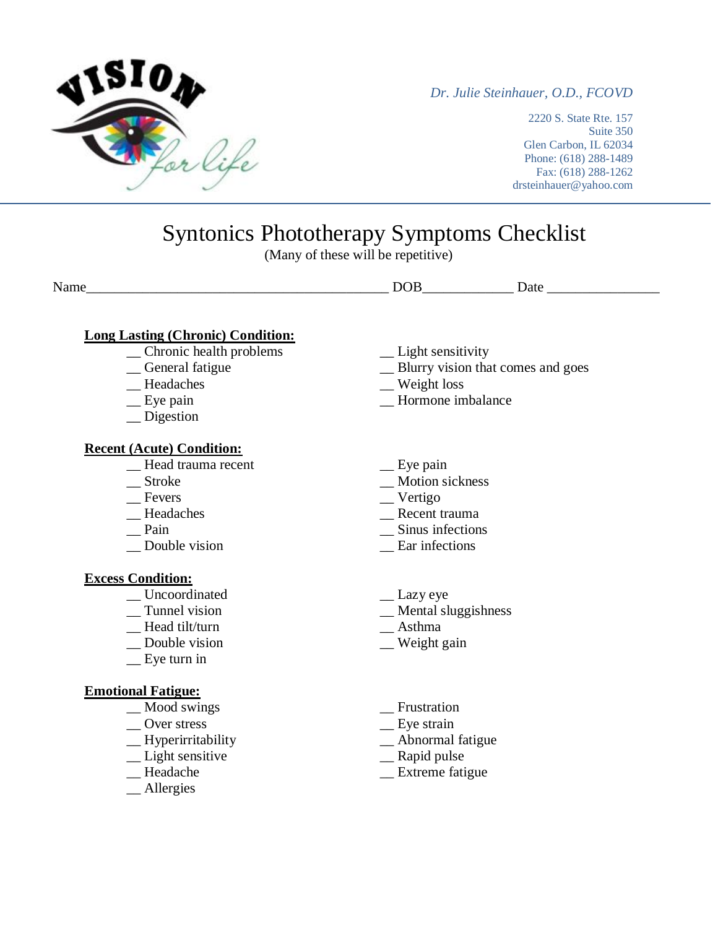

*Dr. Julie Steinhauer, O.D., FCOVD*

2220 S. State Rte. 157 Suite 350 Glen Carbon, IL 62034 Phone: (618) 288-1489 Fax: (618) 288-1262 drsteinhauer@yahoo.com

## Syntonics Phototherapy Symptoms Checklist

(Many of these will be repetitive)

### **Long Lasting (Chronic) Condition:**

- \_\_ Chronic health problems \_\_\_ \_\_ \_\_ Light sensitivity \_\_ General fatigue \_\_\_ Blurry vision that
- 
- 
- 
- \_\_ Digestion

### **Recent (Acute) Condition:**

- \_\_ Head trauma recent \_\_\_ Eye pain \_\_ Eye pain \_\_ Motion si
- 
- 
- 
- 
- 

#### **Excess Condition:**

- \_\_ Uncoordinated \_\_ Lazy eye
- 
- Head tilt/turn **Asthma**
- \_\_ Double vision \_\_ Weight gain
- \_\_ Eye turn in

### **Emotional Fatigue:**

- \_\_ Mood swings \_\_ Frustration
- 
- \_\_ Over stress \_\_ Eye strain
- \_\_ Light sensitive \_\_ Rapid pulse \_\_ Rapid pulse \_\_ Rapid pulse \_\_ Rapid pulse \_\_ Rapid pulse \_\_ Rapid pulse \_\_ Rapid pulse \_\_ Rapid pulse \_\_ Rapid pulse \_\_ Rapid pulse \_\_ Rapid pulse \_\_ Rapid pulse \_\_ Rapid pulse \_\_ Rapid
- 
- \_\_ Allergies
- 
- △ General fatigue △ Blurry vision that comes and goes<br>
 Blurry vision that comes and goes<br>
 Weight loss
	-
- \_\_ Headaches \_\_ Weight loss Hormone imbalance
	-
	- \_ Motion sickness
- \_\_ Fevers \_\_ Vertigo
	-
- \_\_ Headaches \_\_ Recent trauma<br>
\_\_ Pain \_\_ Sinus infections Sinus infections
- \_\_ Double vision \_\_ Ear infections
	-
	- $\equiv$  Mental sluggishness
	-
	-
	-
	-
	- $\equiv$  Abnormal fatigue
	-
	- $\equiv$  Extreme fatigue